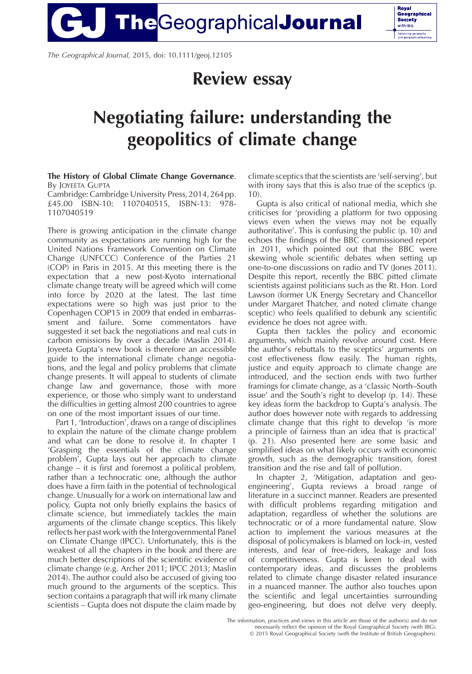

## **Review essay**

## **Negotiating failure: understanding the geopolitics of climate change**

**The History of Global Climate Change Governance**. By JOYEETA GUPTA

Cambridge: Cambridge University Press,2014,264pp. £45.00 ISBN-10: 1107040515, ISBN-13: 978- 1107040519

There is growing anticipation in the climate change community as expectations are running high for the United Nations Framework Convention on Climate Change (UNFCCC) Conference of the Parties 21 (COP) in Paris in 2015. At this meeting there is the expectation that a new post-Kyoto international climate change treaty will be agreed which will come into force by 2020 at the latest. The last time expectations were so high was just prior to the Copenhagen COP15 in 2009 that ended in embarrassment and failure. Some commentators have suggested it set back the negotiations and real cuts in carbon emissions by over a decade (Maslin 2014). Joyeeta Gupta's new book is therefore an accessible guide to the international climate change negotiations, and the legal and policy problems that climate change presents. It will appeal to students of climate change law and governance, those with more experience, or those who simply want to understand the difficulties in getting almost 200 countries to agree on one of the most important issues of our time.

Part 1, 'Introduction', draws on a range of disciplines to explain the nature of the climate change problem and what can be done to resolve it. In chapter 1 'Grasping the essentials of the climate change problem', Gupta lays out her approach to climate change – it is first and foremost a political problem, rather than a technocratic one, although the author does have a firm faith in the potential of technological change. Unusually for a work on international law and policy, Gupta not only briefly explains the basics of climate science, but immediately tackles the main arguments of the climate change sceptics. This likely reflects her past work with the Intergovernmental Panel on Climate Change (IPCC). Unfortunately, this is the weakest of all the chapters in the book and there are much better descriptions of the scientific evidence of climate change (e.g. Archer 2011; IPCC 2013; Maslin 2014). The author could also be accused of giving too much ground to the arguments of the sceptics. This section contains a paragraph that will irk many climate scientists – Gupta does not dispute the claim made by climate sceptics that the scientists are 'self-serving', but with irony says that this is also true of the sceptics (p. 10).

Royal<br>Geographical

Society with IBG grap<br>∾al la

Gupta is also critical of national media, which she criticises for 'providing a platform for two opposing views even when the views may not be equally authoritative'. This is confusing the public (p. 10) and echoes the findings of the BBC commissioned report in 2011, which pointed out that the BBC were skewing whole scientific debates when setting up one-to-one discussions on radio and TV (Jones 2011). Despite this report, recently the BBC pitted climate scientists against politicians such as the Rt. Hon. Lord Lawson (former UK Energy Secretary and Chancellor under Margaret Thatcher, and noted climate change sceptic) who feels qualified to debunk any scientific evidence he does not agree with.

Gupta then tackles the policy and economic arguments, which mainly revolve around cost. Here the author's rebuttals to the sceptics' arguments on cost effectiveness flow easily. The human rights, justice and equity approach to climate change are introduced, and the section ends with two further framings for climate change, as a 'classic North–South issue' and the South's right to develop (p. 14). These key ideas form the backdrop to Gupta's analysis. The author does however note with regards to addressing climate change that this right to develop 'is more a principle of fairness than an idea that is practical' (p. 21). Also presented here are some basic and simplified ideas on what likely occurs with economic growth, such as the demographic transition, forest transition and the rise and fall of pollution.

In chapter 2, 'Mitigation, adaptation and geoengineering', Gupta reviews a broad range of literature in a succinct manner. Readers are presented with difficult problems regarding mitigation and adaptation, regardless of whether the solutions are technocratic or of a more fundamental nature. Slow action to implement the various measures at the disposal of policymakers is blamed on lock-in, vested interests, and fear of free-riders, leakage and loss of competitiveness. Gupta is keen to deal with contemporary ideas, and discusses the problems related to climate change disaster related insurance in a nuanced manner. The author also touches upon the scientific and legal uncertainties surrounding geo-engineering, but does not delve very deeply.

The information, practices and views in this article are those of the author(s) and do not necessarily reflect the opinion of the Royal Geographical Society (with IBG).

<sup>© 2015</sup> Royal Geographical Society (with the Institute of British Geographers).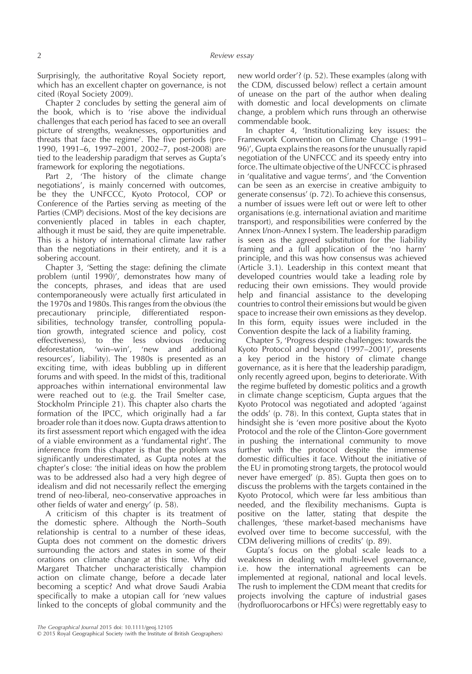Surprisingly, the authoritative Royal Society report, which has an excellent chapter on governance, is not cited (Royal Society 2009).

Chapter 2 concludes by setting the general aim of the book, which is to 'rise above the individual challenges that each period has faced to see an overall picture of strengths, weaknesses, opportunities and threats that face the regime'. The five periods (pre-1990, 1991–6, 1997–2001, 2002–7, post-2008) are tied to the leadership paradigm that serves as Gupta's framework for exploring the negotiations.

Part 2, 'The history of the climate change negotiations', is mainly concerned with outcomes, be they the UNFCCC, Kyoto Protocol, COP or Conference of the Parties serving as meeting of the Parties (CMP) decisions. Most of the key decisions are conveniently placed in tables in each chapter, although it must be said, they are quite impenetrable. This is a history of international climate law rather than the negotiations in their entirety, and it is a sobering account.

Chapter 3, 'Setting the stage: defining the climate problem (until 1990)', demonstrates how many of the concepts, phrases, and ideas that are used contemporaneously were actually first articulated in the 1970s and 1980s.This ranges from the obvious (the precautionary principle, differentiated responsibilities, technology transfer, controlling population growth, integrated science and policy, cost effectiveness), to the less obvious (reducing deforestation, 'win–win', 'new and additional resources', liability). The 1980s is presented as an exciting time, with ideas bubbling up in different forums and with speed. In the midst of this, traditional approaches within international environmental law were reached out to (e.g. the Trail Smelter case, Stockholm Principle 21). This chapter also charts the formation of the IPCC, which originally had a far broader role than it does now. Gupta draws attention to its first assessment report which engaged with the idea of a viable environment as a 'fundamental right'. The inference from this chapter is that the problem was significantly underestimated, as Gupta notes at the chapter's close: 'the initial ideas on how the problem was to be addressed also had a very high degree of idealism and did not necessarily reflect the emerging trend of neo-liberal, neo-conservative approaches in other fields of water and energy' (p. 58).

A criticism of this chapter is its treatment of the domestic sphere. Although the North–South relationship is central to a number of these ideas, Gupta does not comment on the domestic drivers surrounding the actors and states in some of their orations on climate change at this time. Why did Margaret Thatcher uncharacteristically champion action on climate change, before a decade later becoming a sceptic? And what drove Saudi Arabia specifically to make a utopian call for 'new values linked to the concepts of global community and the

new world order'? (p. 52). These examples (along with the CDM, discussed below) reflect a certain amount of unease on the part of the author when dealing with domestic and local developments on climate change, a problem which runs through an otherwise commendable book.

In chapter 4, 'Institutionalizing key issues: the Framework Convention on Climate Change (1991– 96)', Gupta explains the reasons for the unusually rapid negotiation of the UNFCCC and its speedy entry into force.The ultimate objective of the UNFCCC is phrased in 'qualitative and vague terms', and 'the Convention can be seen as an exercise in creative ambiguity to generate consensus' (p. 72).To achieve this consensus, a number of issues were left out or were left to other organisations (e.g. international aviation and maritime transport), and responsibilities were conferred by the Annex I/non-Annex I system. The leadership paradigm is seen as the agreed substitution for the liability framing and a full application of the 'no harm' principle, and this was how consensus was achieved (Article 3.1). Leadership in this context meant that developed countries would take a leading role by reducing their own emissions. They would provide help and financial assistance to the developing countries to control their emissions but would be given space to increase their own emissions as they develop. In this form, equity issues were included in the Convention despite the lack of a liability framing.

Chapter 5, 'Progress despite challenges: towards the Kyoto Protocol and beyond (1997–2001)', presents a key period in the history of climate change governance, as it is here that the leadership paradigm, only recently agreed upon, begins to deteriorate. With the regime buffeted by domestic politics and a growth in climate change scepticism, Gupta argues that the Kyoto Protocol was negotiated and adopted 'against the odds' (p. 78). In this context, Gupta states that in hindsight she is 'even more positive about the Kyoto Protocol and the role of the Clinton-Gore government in pushing the international community to move further with the protocol despite the immense domestic difficulties it face. Without the initiative of the EU in promoting strong targets, the protocol would never have emerged' (p. 85). Gupta then goes on to discuss the problems with the targets contained in the Kyoto Protocol, which were far less ambitious than needed, and the flexibility mechanisms. Gupta is positive on the latter, stating that despite the challenges, 'these market-based mechanisms have evolved over time to become successful, with the CDM delivering millions of credits' (p. 89).

Gupta's focus on the global scale leads to a weakness in dealing with multi-level governance, i.e. how the international agreements can be implemented at regional, national and local levels. The rush to implement the CDM meant that credits for projects involving the capture of industrial gases (hydrofluorocarbons or HFCs) were regrettably easy to

*The Geographical Journal* 2015 doi: 10.1111/geoj.12105 © 2015 Royal Geographical Society (with the Institute of British Geographers)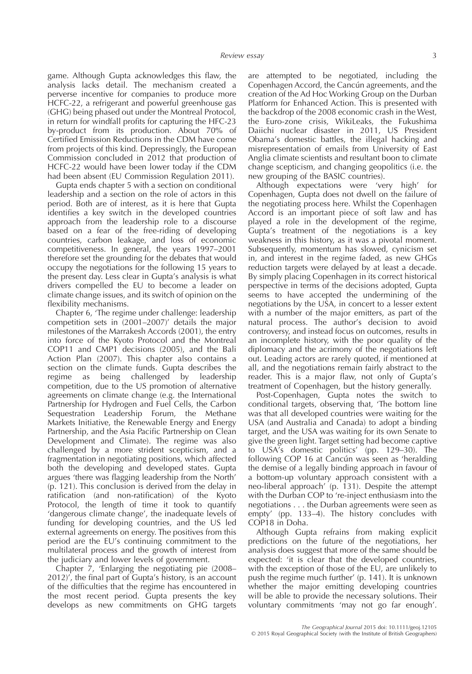game. Although Gupta acknowledges this flaw, the analysis lacks detail. The mechanism created a perverse incentive for companies to produce more HCFC-22, a refrigerant and powerful greenhouse gas (GHG) being phased out under the Montreal Protocol, in return for windfall profits for capturing the HFC-23 by-product from its production. About 70% of Certified Emission Reductions in the CDM have come from projects of this kind. Depressingly, the European Commission concluded in 2012 that production of HCFC-22 would have been lower today if the CDM had been absent (EU Commission Regulation 2011).

Gupta ends chapter 5 with a section on conditional leadership and a section on the role of actors in this period. Both are of interest, as it is here that Gupta identifies a key switch in the developed countries approach from the leadership role to a discourse based on a fear of the free-riding of developing countries, carbon leakage, and loss of economic competitiveness. In general, the years 1997–2001 therefore set the grounding for the debates that would occupy the negotiations for the following 15 years to the present day. Less clear in Gupta's analysis is what drivers compelled the EU to become a leader on climate change issues, and its switch of opinion on the flexibility mechanisms.

Chapter 6, 'The regime under challenge: leadership competition sets in (2001–2007)' details the major milestones of the Marrakesh Accords (2001), the entry into force of the Kyoto Protocol and the Montreal COP11 and CMP1 decisions (2005), and the Bali Action Plan (2007). This chapter also contains a section on the climate funds. Gupta describes the regime as being challenged by leadership competition, due to the US promotion of alternative agreements on climate change (e.g. the International Partnership for Hydrogen and Fuel Cells, the Carbon Sequestration Leadership Forum, the Methane Markets Initiative, the Renewable Energy and Energy Partnership, and the Asia Pacific Partnership on Clean Development and Climate). The regime was also challenged by a more strident scepticism, and a fragmentation in negotiating positions, which affected both the developing and developed states. Gupta argues 'there was flagging leadership from the North' (p. 121). This conclusion is derived from the delay in ratification (and non-ratification) of the Kyoto Protocol, the length of time it took to quantify 'dangerous climate change', the inadequate levels of funding for developing countries, and the US led external agreements on energy. The positives from this period are the EU's continuing commitment to the multilateral process and the growth of interest from the judiciary and lower levels of government.

Chapter 7, 'Enlarging the negotiating pie (2008– 2012)', the final part of Gupta's history, is an account of the difficulties that the regime has encountered in the most recent period. Gupta presents the key develops as new commitments on GHG targets are attempted to be negotiated, including the Copenhagen Accord, the Cancún agreements, and the creation of the Ad Hoc Working Group on the Durban Platform for Enhanced Action. This is presented with the backdrop of the 2008 economic crash in the West, the Euro-zone crisis, WikiLeaks, the Fukushima Daiichi nuclear disaster in 2011, US President Obama's domestic battles, the illegal hacking and misrepresentation of emails from University of East Anglia climate scientists and resultant boon to climate change scepticism, and changing geopolitics (i.e. the new grouping of the BASIC countries).

Although expectations were 'very high' for Copenhagen, Gupta does not dwell on the failure of the negotiating process here. Whilst the Copenhagen Accord is an important piece of soft law and has played a role in the development of the regime, Gupta's treatment of the negotiations is a key weakness in this history, as it was a pivotal moment. Subsequently, momentum has slowed, cynicism set in, and interest in the regime faded, as new GHGs reduction targets were delayed by at least a decade. By simply placing Copenhagen in its correct historical perspective in terms of the decisions adopted, Gupta seems to have accepted the undermining of the negotiations by the USA, in concert to a lesser extent with a number of the major emitters, as part of the natural process. The author's decision to avoid controversy, and instead focus on outcomes, results in an incomplete history, with the poor quality of the diplomacy and the acrimony of the negotiations left out. Leading actors are rarely quoted, if mentioned at all, and the negotiations remain fairly abstract to the reader. This is a major flaw, not only of Gupta's treatment of Copenhagen, but the history generally.

Post-Copenhagen, Gupta notes the switch to conditional targets, observing that, 'The bottom line was that all developed countries were waiting for the USA (and Australia and Canada) to adopt a binding target, and the USA was waiting for its own Senate to give the green light. Target setting had become captive to USA's domestic politics' (pp. 129–30). The following COP 16 at Cancún was seen as 'heralding the demise of a legally binding approach in favour of a bottom-up voluntary approach consistent with a neo-liberal approach' (p. 131). Despite the attempt with the Durban COP to 're-inject enthusiasm into the negotiations . . . the Durban agreements were seen as empty' (pp. 133–4). The history concludes with COP18 in Doha.

Although Gupta refrains from making explicit predictions on the future of the negotiations, her analysis does suggest that more of the same should be expected: 'it is clear that the developed countries, with the exception of those of the EU, are unlikely to push the regime much further' (p. 141). It is unknown whether the major emitting developing countries will be able to provide the necessary solutions. Their voluntary commitments 'may not go far enough'.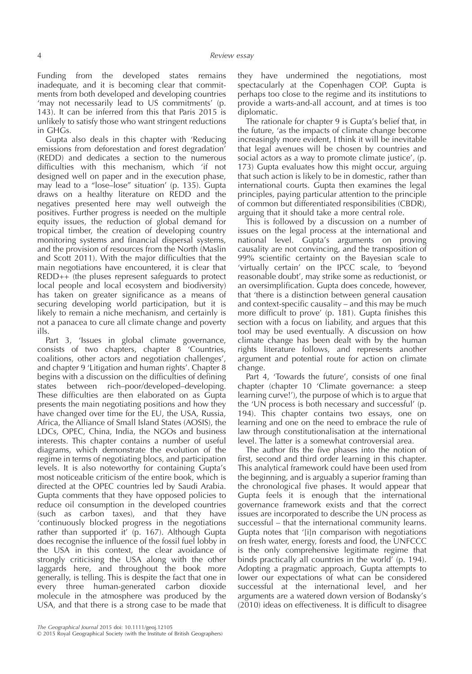Funding from the developed states remains inadequate, and it is becoming clear that commitments from both developed and developing countries 'may not necessarily lead to US commitments' (p. 143). It can be inferred from this that Paris 2015 is unlikely to satisfy those who want stringent reductions in GHGs.

Gupta also deals in this chapter with 'Reducing emissions from deforestation and forest degradation' (REDD) and dedicates a section to the numerous difficulties with this mechanism, which 'if not designed well on paper and in the execution phase, may lead to a "lose–lose" situation' (p. 135). Gupta draws on a healthy literature on REDD and the negatives presented here may well outweigh the positives. Further progress is needed on the multiple equity issues, the reduction of global demand for tropical timber, the creation of developing country monitoring systems and financial dispersal systems, and the provision of resources from the North (Maslin and Scott 2011). With the major difficulties that the main negotiations have encountered, it is clear that REDD++ (the pluses represent safeguards to protect local people and local ecosystem and biodiversity) has taken on greater significance as a means of securing developing world participation, but it is likely to remain a niche mechanism, and certainly is not a panacea to cure all climate change and poverty ills.

Part 3, 'Issues in global climate governance, consists of two chapters, chapter 8 'Countries, coalitions, other actors and negotiation challenges', and chapter 9 'Litigation and human rights'. Chapter 8 begins with a discussion on the difficulties of defining states between rich–poor/developed–developing. These difficulties are then elaborated on as Gupta presents the main negotiating positions and how they have changed over time for the EU, the USA, Russia, Africa, the Alliance of Small Island States (AOSIS), the LDCs, OPEC, China, India, the NGOs and business interests. This chapter contains a number of useful diagrams, which demonstrate the evolution of the regime in terms of negotiating blocs, and participation levels. It is also noteworthy for containing Gupta's most noticeable criticism of the entire book, which is directed at the OPEC countries led by Saudi Arabia. Gupta comments that they have opposed policies to reduce oil consumption in the developed countries (such as carbon taxes), and that they have 'continuously blocked progress in the negotiations rather than supported it' (p. 167). Although Gupta does recognise the influence of the fossil fuel lobby in the USA in this context, the clear avoidance of strongly criticising the USA along with the other laggards here, and throughout the book more generally, is telling. This is despite the fact that one in every three human-generated carbon dioxide molecule in the atmosphere was produced by the USA, and that there is a strong case to be made that they have undermined the negotiations, most spectacularly at the Copenhagen COP. Gupta is perhaps too close to the regime and its institutions to provide a warts-and-all account, and at times is too diplomatic.

The rationale for chapter 9 is Gupta's belief that, in the future, 'as the impacts of climate change become increasingly more evident, I think it will be inevitable that legal avenues will be chosen by countries and social actors as a way to promote climate justice', (p. 173) Gupta evaluates how this might occur, arguing that such action is likely to be in domestic, rather than international courts. Gupta then examines the legal principles, paying particular attention to the principle of common but differentiated responsibilities (CBDR), arguing that it should take a more central role.

This is followed by a discussion on a number of issues on the legal process at the international and national level. Gupta's arguments on proving causality are not convincing, and the transposition of 99% scientific certainty on the Bayesian scale to 'virtually certain' on the IPCC scale, to 'beyond reasonable doubt', may strike some as reductionist, or an oversimplification. Gupta does concede, however, that 'there is a distinction between general causation and context-specific causality – and this may be much more difficult to prove' (p. 181). Gupta finishes this section with a focus on liability, and argues that this tool may be used eventually. A discussion on how climate change has been dealt with by the human rights literature follows, and represents another argument and potential route for action on climate change.

Part 4, 'Towards the future', consists of one final chapter (chapter 10 'Climate governance: a steep learning curve!'), the purpose of which is to argue that the 'UN process is both necessary and successful' (p. 194). This chapter contains two essays, one on learning and one on the need to embrace the rule of law through constitutionalisation at the international level. The latter is a somewhat controversial area.

The author fits the five phases into the notion of first, second and third order learning in this chapter. This analytical framework could have been used from the beginning, and is arguably a superior framing than the chronological five phases. It would appear that Gupta feels it is enough that the international governance framework exists and that the correct issues are incorporated to describe the UN process as successful – that the international community learns. Gupta notes that '[i]n comparison with negotiations on fresh water, energy, forests and food, the UNFCCC is the only comprehensive legitimate regime that binds practically all countries in the world<sup>7</sup> (p. 194). Adopting a pragmatic approach, Gupta attempts to lower our expectations of what can be considered successful at the international level, and her arguments are a watered down version of Bodansky's (2010) ideas on effectiveness. It is difficult to disagree

*The Geographical Journal* 2015 doi: 10.1111/geoj.12105 © 2015 Royal Geographical Society (with the Institute of British Geographers)